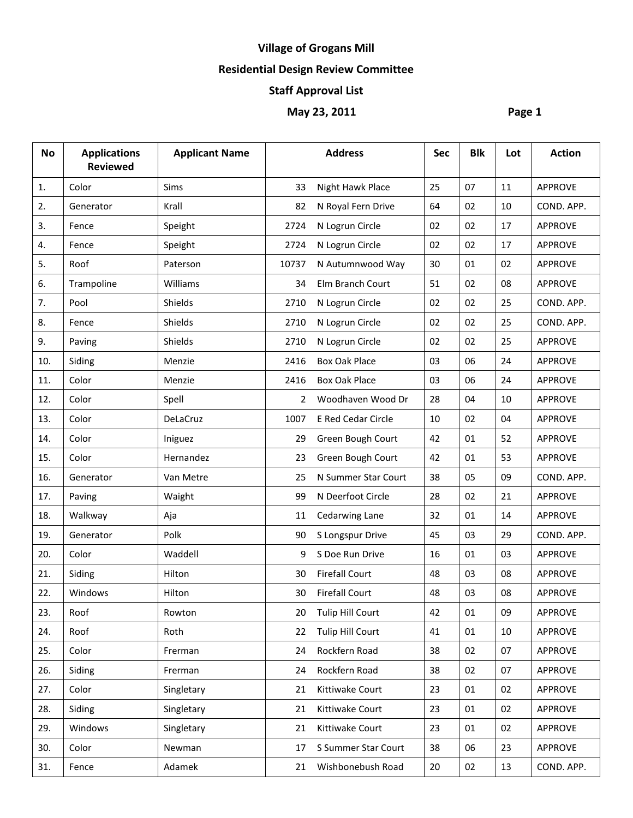# **Village of Grogans Mill**

## **Residential Design Review Committee**

## **Staff Approval List**

## **May 23, 2011 Page 1**

| <b>No</b> | <b>Applications</b><br><b>Reviewed</b> | <b>Applicant Name</b> |                | <b>Address</b>          | <b>Sec</b> | <b>Blk</b> | Lot | <b>Action</b>  |
|-----------|----------------------------------------|-----------------------|----------------|-------------------------|------------|------------|-----|----------------|
| 1.        | Color                                  | <b>Sims</b>           | 33             | Night Hawk Place        | 25         | 07         | 11  | <b>APPROVE</b> |
| 2.        | Generator                              | Krall                 | 82             | N Royal Fern Drive      | 64         | 02         | 10  | COND. APP.     |
| 3.        | Fence                                  | Speight               | 2724           | N Logrun Circle         | 02         | 02         | 17  | APPROVE        |
| 4.        | Fence                                  | Speight               | 2724           | N Logrun Circle         | 02         | 02         | 17  | <b>APPROVE</b> |
| 5.        | Roof                                   | Paterson              | 10737          | N Autumnwood Way        | 30         | 01         | 02  | APPROVE        |
| 6.        | Trampoline                             | Williams              | 34             | Elm Branch Court        | 51         | 02         | 08  | <b>APPROVE</b> |
| 7.        | Pool                                   | Shields               | 2710           | N Logrun Circle         | 02         | 02         | 25  | COND. APP.     |
| 8.        | Fence                                  | Shields               | 2710           | N Logrun Circle         | 02         | 02         | 25  | COND. APP.     |
| 9.        | Paving                                 | Shields               | 2710           | N Logrun Circle         | 02         | 02         | 25  | APPROVE        |
| 10.       | Siding                                 | Menzie                | 2416           | <b>Box Oak Place</b>    | 03         | 06         | 24  | <b>APPROVE</b> |
| 11.       | Color                                  | Menzie                | 2416           | <b>Box Oak Place</b>    | 03         | 06         | 24  | APPROVE        |
| 12.       | Color                                  | Spell                 | $\overline{2}$ | Woodhaven Wood Dr       | 28         | 04         | 10  | APPROVE        |
| 13.       | Color                                  | DeLaCruz              | 1007           | E Red Cedar Circle      | 10         | 02         | 04  | <b>APPROVE</b> |
| 14.       | Color                                  | Iniguez               | 29             | Green Bough Court       | 42         | 01         | 52  | <b>APPROVE</b> |
| 15.       | Color                                  | Hernandez             | 23             | Green Bough Court       | 42         | 01         | 53  | <b>APPROVE</b> |
| 16.       | Generator                              | Van Metre             | 25             | N Summer Star Court     | 38         | 05         | 09  | COND. APP.     |
| 17.       | Paving                                 | Waight                | 99             | N Deerfoot Circle       | 28         | 02         | 21  | <b>APPROVE</b> |
| 18.       | Walkway                                | Aja                   | 11             | <b>Cedarwing Lane</b>   | 32         | 01         | 14  | <b>APPROVE</b> |
| 19.       | Generator                              | Polk                  | 90             | S Longspur Drive        | 45         | 03         | 29  | COND. APP.     |
| 20.       | Color                                  | Waddell               | 9              | S Doe Run Drive         | 16         | 01         | 03  | <b>APPROVE</b> |
| 21.       | Siding                                 | Hilton                | 30             | <b>Firefall Court</b>   | 48         | 03         | 08  | <b>APPROVE</b> |
| 22.       | Windows                                | Hilton                | 30             | <b>Firefall Court</b>   | 48         | 03         | 08  | <b>APPROVE</b> |
| 23.       | Roof                                   | Rowton                | 20             | <b>Tulip Hill Court</b> | 42         | 01         | 09  | <b>APPROVE</b> |
| 24.       | Roof                                   | Roth                  | 22             | Tulip Hill Court        | 41         | 01         | 10  | APPROVE        |
| 25.       | Color                                  | Frerman               | 24             | Rockfern Road           | 38         | 02         | 07  | APPROVE        |
| 26.       | Siding                                 | Frerman               | 24             | Rockfern Road           | 38         | 02         | 07  | <b>APPROVE</b> |
| 27.       | Color                                  | Singletary            | 21             | Kittiwake Court         | 23         | 01         | 02  | <b>APPROVE</b> |
| 28.       | Siding                                 | Singletary            | 21             | Kittiwake Court         | 23         | 01         | 02  | APPROVE        |
| 29.       | Windows                                | Singletary            | 21             | Kittiwake Court         | 23         | 01         | 02  | APPROVE        |
| 30.       | Color                                  | Newman                | 17             | S Summer Star Court     | 38         | 06         | 23  | APPROVE        |
| 31.       | Fence                                  | Adamek                | 21             | Wishbonebush Road       | 20         | 02         | 13  | COND. APP.     |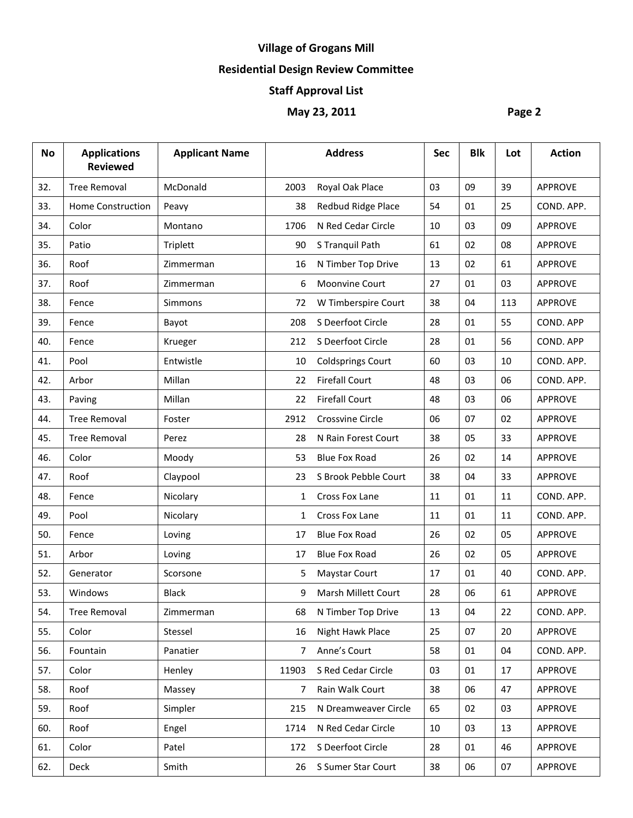# **Village of Grogans Mill**

## **Residential Design Review Committee**

#### **Staff Approval List**

## **May 23, 2011 Page 2**

| <b>No</b> | <b>Applications</b><br><b>Reviewed</b> | <b>Applicant Name</b> |              | <b>Address</b>           | Sec | <b>Blk</b> | Lot | <b>Action</b>  |
|-----------|----------------------------------------|-----------------------|--------------|--------------------------|-----|------------|-----|----------------|
| 32.       | <b>Tree Removal</b>                    | McDonald              | 2003         | Royal Oak Place          | 03  | 09         | 39  | <b>APPROVE</b> |
| 33.       | <b>Home Construction</b>               | Peavy                 | 38           | Redbud Ridge Place       | 54  | 01         | 25  | COND. APP.     |
| 34.       | Color                                  | Montano               | 1706         | N Red Cedar Circle       | 10  | 03         | 09  | APPROVE        |
| 35.       | Patio                                  | Triplett              | 90           | S Tranquil Path          | 61  | 02         | 08  | <b>APPROVE</b> |
| 36.       | Roof                                   | Zimmerman             | 16           | N Timber Top Drive       | 13  | 02         | 61  | <b>APPROVE</b> |
| 37.       | Roof                                   | Zimmerman             | 6            | <b>Moonvine Court</b>    | 27  | 01         | 03  | <b>APPROVE</b> |
| 38.       | Fence                                  | <b>Simmons</b>        | 72           | W Timberspire Court      | 38  | 04         | 113 | <b>APPROVE</b> |
| 39.       | Fence                                  | Bayot                 | 208          | S Deerfoot Circle        | 28  | 01         | 55  | COND. APP      |
| 40.       | Fence                                  | Krueger               | 212          | S Deerfoot Circle        | 28  | 01         | 56  | COND. APP      |
| 41.       | Pool                                   | Entwistle             | 10           | <b>Coldsprings Court</b> | 60  | 03         | 10  | COND. APP.     |
| 42.       | Arbor                                  | Millan                | 22           | <b>Firefall Court</b>    | 48  | 03         | 06  | COND. APP.     |
| 43.       | Paving                                 | Millan                | 22           | <b>Firefall Court</b>    | 48  | 03         | 06  | <b>APPROVE</b> |
| 44.       | <b>Tree Removal</b>                    | Foster                | 2912         | Crossvine Circle         | 06  | 07         | 02  | <b>APPROVE</b> |
| 45.       | <b>Tree Removal</b>                    | Perez                 | 28           | N Rain Forest Court      | 38  | 05         | 33  | <b>APPROVE</b> |
| 46.       | Color                                  | Moody                 | 53           | <b>Blue Fox Road</b>     | 26  | 02         | 14  | <b>APPROVE</b> |
| 47.       | Roof                                   | Claypool              | 23           | S Brook Pebble Court     | 38  | 04         | 33  | <b>APPROVE</b> |
| 48.       | Fence                                  | Nicolary              | $\mathbf{1}$ | Cross Fox Lane           | 11  | 01         | 11  | COND. APP.     |
| 49.       | Pool                                   | Nicolary              | $\mathbf{1}$ | Cross Fox Lane           | 11  | 01         | 11  | COND. APP.     |
| 50.       | Fence                                  | Loving                | 17           | <b>Blue Fox Road</b>     | 26  | 02         | 05  | APPROVE        |
| 51.       | Arbor                                  | Loving                | 17           | <b>Blue Fox Road</b>     | 26  | 02         | 05  | APPROVE        |
| 52.       | Generator                              | Scorsone              | 5            | <b>Maystar Court</b>     | 17  | 01         | 40  | COND. APP.     |
| 53.       | Windows                                | <b>Black</b>          | 9            | Marsh Millett Court      | 28  | 06         | 61  | <b>APPROVE</b> |
| 54.       | <b>Tree Removal</b>                    | Zimmerman             | 68           | N Timber Top Drive       | 13  | 04         | 22  | COND. APP.     |
| 55.       | Color                                  | Stessel               | 16           | Night Hawk Place         | 25  | 07         | 20  | <b>APPROVE</b> |
| 56.       | Fountain                               | Panatier              | 7            | Anne's Court             | 58  | 01         | 04  | COND. APP.     |
| 57.       | Color                                  | Henley                | 11903        | S Red Cedar Circle       | 03  | 01         | 17  | <b>APPROVE</b> |
| 58.       | Roof                                   | Massey                | 7            | Rain Walk Court          | 38  | 06         | 47  | APPROVE        |
| 59.       | Roof                                   | Simpler               | 215          | N Dreamweaver Circle     | 65  | 02         | 03  | APPROVE        |
| 60.       | Roof                                   | Engel                 | 1714         | N Red Cedar Circle       | 10  | 03         | 13  | APPROVE        |
| 61.       | Color                                  | Patel                 | 172          | S Deerfoot Circle        | 28  | 01         | 46  | <b>APPROVE</b> |
| 62.       | Deck                                   | Smith                 | 26           | S Sumer Star Court       | 38  | 06         | 07  | APPROVE        |